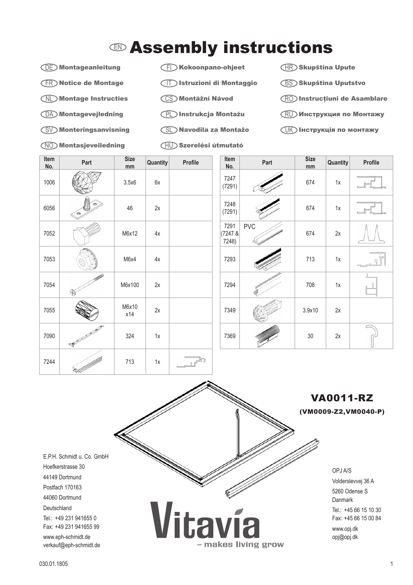## $\mathbb D$  Assembly instructions

## DE Montageanleitung

- FR Notice de Montage
- NL Montage Instructies
- DA Montagevejledning
- SV Monteringsanvisning
- NO Montasjeveiledning
- FI Kokoonpano-ohjeet
- IT Istruzioni di Montaggio
- CS Montážní Návod
- PL Instrukcja Montażu
- SL Navodila za Montažo
- HU Szerelési útmutató
- $\overline{\mathsf{HR}}$ )Skupština Upute
- BS Skupština Uputstvo
- RO Instrucţiuni de Asamblare
- $\mathop{\rm RU}\nolimits$  Инструкция по Монтажу
- $\overline{\mathbb{U}}$  Інструкція по монтажу

| Item<br>No. | Part            | <b>Size</b><br>mm | <b>Quantity</b> | Profile | Item<br>No.                 | Part       | <b>Size</b><br>mm | Quantity |
|-------------|-----------------|-------------------|-----------------|---------|-----------------------------|------------|-------------------|----------|
| 1006        |                 | 3.5x6             | 6x              |         | 7247<br>(7291)              |            | 674               | 1x       |
| 6056        | $450$<br>6U)    | 46                | 2x              |         | 7248<br>(7291)              |            | 674               | 1x       |
| 7052        |                 | M6x12             | $4x$            |         | 7291<br>$(7247 \&$<br>7248) | <b>PVC</b> | 674               | $2x$     |
| 7053        |                 | M6x4              | 4x              |         | 7293                        |            | 713               | 1x       |
| 7054        |                 | M6x100            | 2x              |         | 7294                        |            | 708               | 1x       |
| 7055        |                 | M6x10<br>x14      | 2x              |         | 7349                        |            | 3.9x10            | 2x       |
| 7090        | <b>Rowledge</b> | 324               | $1x$            |         | 7369                        |            | $30\,$            | $2x$     |
| 7244        |                 | 713               | $1x$            |         |                             |            |                   |          |